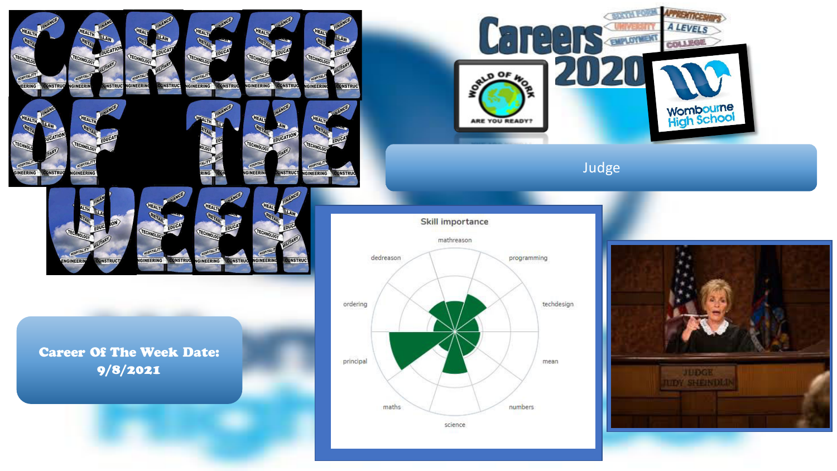

ECHN

**IOSPITA** 

**NGINEERING** 

**CONSTRUC** 

**GINEERIN** 

**INSTRU** 

**ONSTRU** 



Judge





Career Of The Week Date: 9/8/2021

**ONSTRUC** 

NGINEERI

GINEERING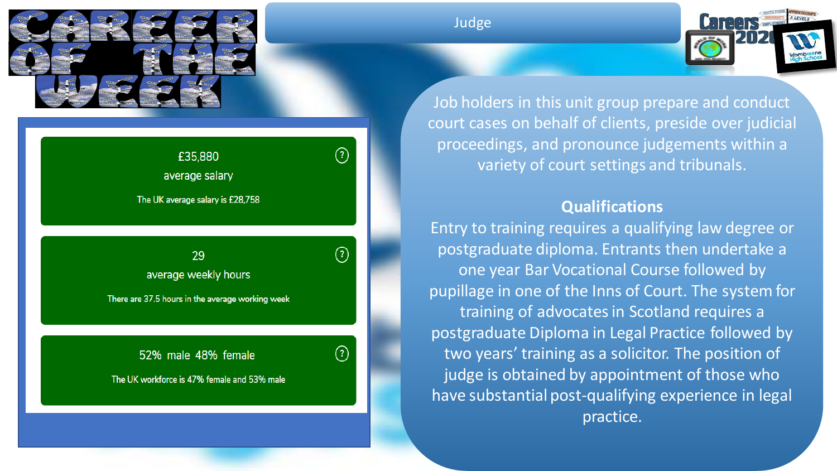

| £35,880<br>average salary        | $\overline{\mathbf{3}}$ |
|----------------------------------|-------------------------|
| The UK average salary is £28,758 |                         |
|                                  |                         |

 $\left( \mathcal{D}\right)$ 

 $\left( 2\right)$ 

29 average weekly hours

There are 37.5 hours in the average working week

52% male 48% female

The UK workforce is 47% female and 53% male

## Judge



Job holders in this unit group prepare and conduct court cases on behalf of clients, preside over judicial proceedings, and pronounce judgements within a variety of court settings and tribunals.

## **Qualifications**

Entry to training requires a qualifying law degree or postgraduate diploma. Entrants then undertake a one year Bar Vocational Course followed by pupillage in one of the Inns of Court. The system for training of advocates in Scotland requires a postgraduate Diploma in Legal Practice followed by two years' training as a solicitor. The position of judge is obtained by appointment of those who have substantial post-qualifying experience in legal practice.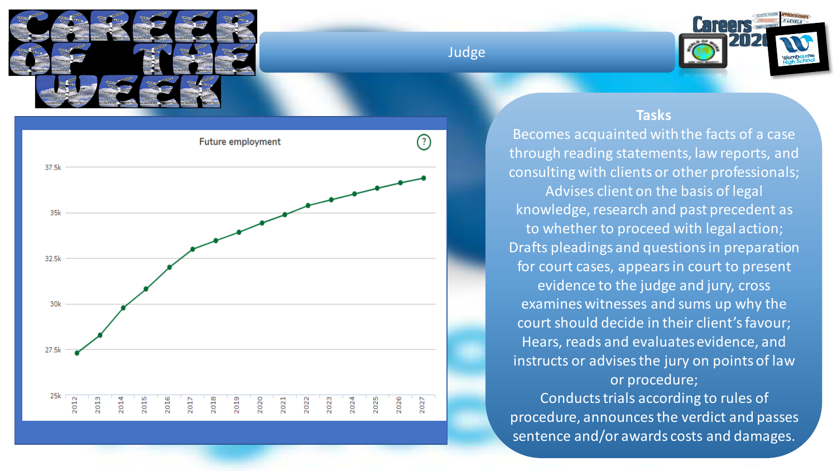

## Judge





## **Tasks**

Becomes acquainted with the facts of a case through reading statements, law reports, and consulting with clients or other professionals; Advises client on the basis of legal knowledge, research and past precedent as to whether to proceed with legal action; Drafts pleadings and questions in preparation for court cases, appears in court to present evidence to the judge and jury, cross examines witnesses and sums up why the court should decide in their client's favour; Hears, reads and evaluates evidence, and instructs or advises the jury on points of law or procedure; Conducts trials according to rules of procedure, announces the verdict and passes sentence and/or awards costs and damages.